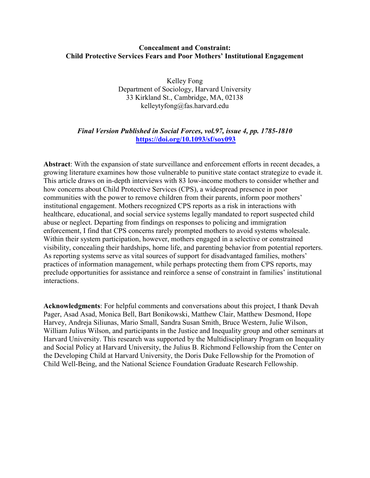# Concealment and Constraint: Child Protective Services Fears and Poor Mothers' Institutional Engagement

Kelley Fong Department of Sociology, Harvard University 33 Kirkland St., Cambridge, MA, 02138 kelleytyfong@fas.harvard.edu

# Final Version Published in Social Forces, vol.97, issue 4, pp. 1785-1810 https://doi.org/10.1093/sf/soy093

Abstract: With the expansion of state surveillance and enforcement efforts in recent decades, a growing literature examines how those vulnerable to punitive state contact strategize to evade it. This article draws on in-depth interviews with 83 low-income mothers to consider whether and how concerns about Child Protective Services (CPS), a widespread presence in poor communities with the power to remove children from their parents, inform poor mothers' institutional engagement. Mothers recognized CPS reports as a risk in interactions with healthcare, educational, and social service systems legally mandated to report suspected child abuse or neglect. Departing from findings on responses to policing and immigration enforcement, I find that CPS concerns rarely prompted mothers to avoid systems wholesale. Within their system participation, however, mothers engaged in a selective or constrained visibility, concealing their hardships, home life, and parenting behavior from potential reporters. As reporting systems serve as vital sources of support for disadvantaged families, mothers' practices of information management, while perhaps protecting them from CPS reports, may preclude opportunities for assistance and reinforce a sense of constraint in families' institutional interactions.

Acknowledgments: For helpful comments and conversations about this project, I thank Devah Pager, Asad Asad, Monica Bell, Bart Bonikowski, Matthew Clair, Matthew Desmond, Hope Harvey, Andreja Siliunas, Mario Small, Sandra Susan Smith, Bruce Western, Julie Wilson, William Julius Wilson, and participants in the Justice and Inequality group and other seminars at Harvard University. This research was supported by the Multidisciplinary Program on Inequality and Social Policy at Harvard University, the Julius B. Richmond Fellowship from the Center on the Developing Child at Harvard University, the Doris Duke Fellowship for the Promotion of Child Well-Being, and the National Science Foundation Graduate Research Fellowship.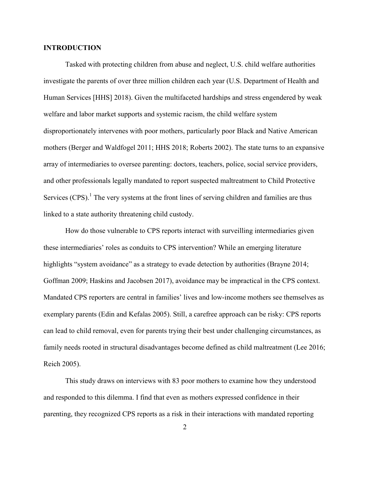# INTRODUCTION

Tasked with protecting children from abuse and neglect, U.S. child welfare authorities investigate the parents of over three million children each year (U.S. Department of Health and Human Services [HHS] 2018). Given the multifaceted hardships and stress engendered by weak welfare and labor market supports and systemic racism, the child welfare system disproportionately intervenes with poor mothers, particularly poor Black and Native American mothers (Berger and Waldfogel 2011; HHS 2018; Roberts 2002). The state turns to an expansive array of intermediaries to oversee parenting: doctors, teachers, police, social service providers, and other professionals legally mandated to report suspected maltreatment to Child Protective Services  $(CPS)$ .<sup>1</sup> The very systems at the front lines of serving children and families are thus linked to a state authority threatening child custody.

How do those vulnerable to CPS reports interact with surveilling intermediaries given these intermediaries' roles as conduits to CPS intervention? While an emerging literature highlights "system avoidance" as a strategy to evade detection by authorities (Brayne 2014; Goffman 2009; Haskins and Jacobsen 2017), avoidance may be impractical in the CPS context. Mandated CPS reporters are central in families' lives and low-income mothers see themselves as exemplary parents (Edin and Kefalas 2005). Still, a carefree approach can be risky: CPS reports can lead to child removal, even for parents trying their best under challenging circumstances, as family needs rooted in structural disadvantages become defined as child maltreatment (Lee 2016; Reich 2005).

This study draws on interviews with 83 poor mothers to examine how they understood and responded to this dilemma. I find that even as mothers expressed confidence in their parenting, they recognized CPS reports as a risk in their interactions with mandated reporting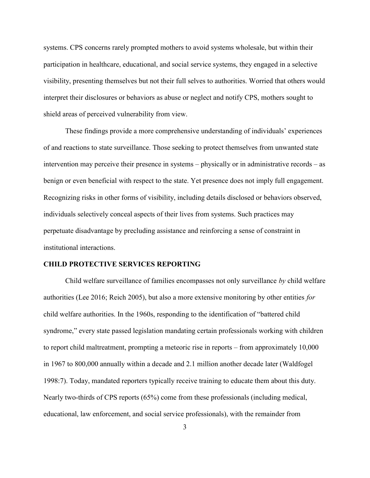systems. CPS concerns rarely prompted mothers to avoid systems wholesale, but within their participation in healthcare, educational, and social service systems, they engaged in a selective visibility, presenting themselves but not their full selves to authorities. Worried that others would interpret their disclosures or behaviors as abuse or neglect and notify CPS, mothers sought to shield areas of perceived vulnerability from view.

These findings provide a more comprehensive understanding of individuals' experiences of and reactions to state surveillance. Those seeking to protect themselves from unwanted state intervention may perceive their presence in systems – physically or in administrative records – as benign or even beneficial with respect to the state. Yet presence does not imply full engagement. Recognizing risks in other forms of visibility, including details disclosed or behaviors observed, individuals selectively conceal aspects of their lives from systems. Such practices may perpetuate disadvantage by precluding assistance and reinforcing a sense of constraint in institutional interactions.

### CHILD PROTECTIVE SERVICES REPORTING

Child welfare surveillance of families encompasses not only surveillance by child welfare authorities (Lee 2016; Reich 2005), but also a more extensive monitoring by other entities for child welfare authorities. In the 1960s, responding to the identification of "battered child syndrome," every state passed legislation mandating certain professionals working with children to report child maltreatment, prompting a meteoric rise in reports – from approximately 10,000 in 1967 to 800,000 annually within a decade and 2.1 million another decade later (Waldfogel 1998:7). Today, mandated reporters typically receive training to educate them about this duty. Nearly two-thirds of CPS reports (65%) come from these professionals (including medical, educational, law enforcement, and social service professionals), with the remainder from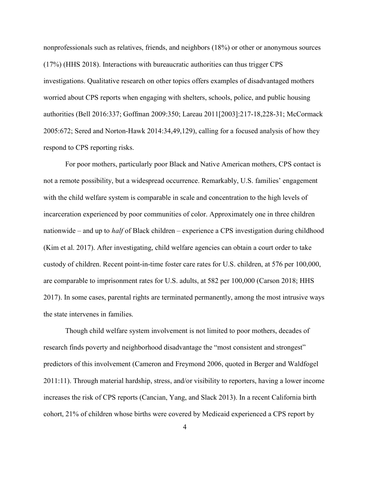nonprofessionals such as relatives, friends, and neighbors (18%) or other or anonymous sources (17%) (HHS 2018). Interactions with bureaucratic authorities can thus trigger CPS investigations. Qualitative research on other topics offers examples of disadvantaged mothers worried about CPS reports when engaging with shelters, schools, police, and public housing authorities (Bell 2016:337; Goffman 2009:350; Lareau 2011[2003]:217-18,228-31; McCormack 2005:672; Sered and Norton-Hawk 2014:34,49,129), calling for a focused analysis of how they respond to CPS reporting risks.

For poor mothers, particularly poor Black and Native American mothers, CPS contact is not a remote possibility, but a widespread occurrence. Remarkably, U.S. families' engagement with the child welfare system is comparable in scale and concentration to the high levels of incarceration experienced by poor communities of color. Approximately one in three children nationwide – and up to *half* of Black children – experience a CPS investigation during childhood (Kim et al. 2017). After investigating, child welfare agencies can obtain a court order to take custody of children. Recent point-in-time foster care rates for U.S. children, at 576 per 100,000, are comparable to imprisonment rates for U.S. adults, at 582 per 100,000 (Carson 2018; HHS 2017). In some cases, parental rights are terminated permanently, among the most intrusive ways the state intervenes in families.

Though child welfare system involvement is not limited to poor mothers, decades of research finds poverty and neighborhood disadvantage the "most consistent and strongest" predictors of this involvement (Cameron and Freymond 2006, quoted in Berger and Waldfogel 2011:11). Through material hardship, stress, and/or visibility to reporters, having a lower income increases the risk of CPS reports (Cancian, Yang, and Slack 2013). In a recent California birth cohort, 21% of children whose births were covered by Medicaid experienced a CPS report by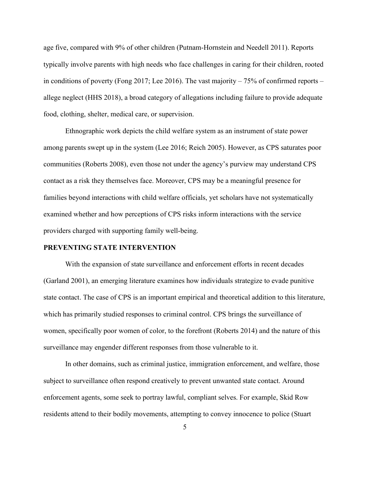age five, compared with 9% of other children (Putnam-Hornstein and Needell 2011). Reports typically involve parents with high needs who face challenges in caring for their children, rooted in conditions of poverty (Fong 2017; Lee 2016). The vast majority  $-75\%$  of confirmed reports  $$ allege neglect (HHS 2018), a broad category of allegations including failure to provide adequate food, clothing, shelter, medical care, or supervision.

Ethnographic work depicts the child welfare system as an instrument of state power among parents swept up in the system (Lee 2016; Reich 2005). However, as CPS saturates poor communities (Roberts 2008), even those not under the agency's purview may understand CPS contact as a risk they themselves face. Moreover, CPS may be a meaningful presence for families beyond interactions with child welfare officials, yet scholars have not systematically examined whether and how perceptions of CPS risks inform interactions with the service providers charged with supporting family well-being.

#### PREVENTING STATE INTERVENTION

With the expansion of state surveillance and enforcement efforts in recent decades (Garland 2001), an emerging literature examines how individuals strategize to evade punitive state contact. The case of CPS is an important empirical and theoretical addition to this literature, which has primarily studied responses to criminal control. CPS brings the surveillance of women, specifically poor women of color, to the forefront (Roberts 2014) and the nature of this surveillance may engender different responses from those vulnerable to it.

In other domains, such as criminal justice, immigration enforcement, and welfare, those subject to surveillance often respond creatively to prevent unwanted state contact. Around enforcement agents, some seek to portray lawful, compliant selves. For example, Skid Row residents attend to their bodily movements, attempting to convey innocence to police (Stuart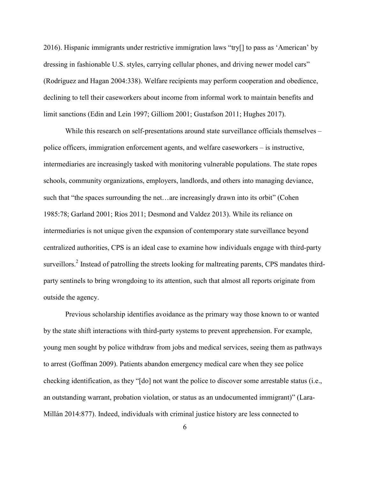2016). Hispanic immigrants under restrictive immigration laws "try[] to pass as 'American' by dressing in fashionable U.S. styles, carrying cellular phones, and driving newer model cars" (Rodríguez and Hagan 2004:338). Welfare recipients may perform cooperation and obedience, declining to tell their caseworkers about income from informal work to maintain benefits and limit sanctions (Edin and Lein 1997; Gilliom 2001; Gustafson 2011; Hughes 2017).

While this research on self-presentations around state surveillance officials themselves – police officers, immigration enforcement agents, and welfare caseworkers – is instructive, intermediaries are increasingly tasked with monitoring vulnerable populations. The state ropes schools, community organizations, employers, landlords, and others into managing deviance, such that "the spaces surrounding the net…are increasingly drawn into its orbit" (Cohen 1985:78; Garland 2001; Rios 2011; Desmond and Valdez 2013). While its reliance on intermediaries is not unique given the expansion of contemporary state surveillance beyond centralized authorities, CPS is an ideal case to examine how individuals engage with third-party surveillors.<sup>2</sup> Instead of patrolling the streets looking for maltreating parents, CPS mandates thirdparty sentinels to bring wrongdoing to its attention, such that almost all reports originate from outside the agency.

Previous scholarship identifies avoidance as the primary way those known to or wanted by the state shift interactions with third-party systems to prevent apprehension. For example, young men sought by police withdraw from jobs and medical services, seeing them as pathways to arrest (Goffman 2009). Patients abandon emergency medical care when they see police checking identification, as they "[do] not want the police to discover some arrestable status (i.e., an outstanding warrant, probation violation, or status as an undocumented immigrant)" (Lara-Millán 2014:877). Indeed, individuals with criminal justice history are less connected to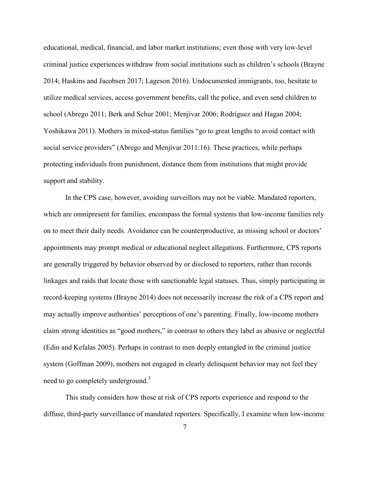educational, medical, financial, and labor market institutions; even those with very low-level criminal justice experiences withdraw from social institutions such as children's schools (Brayne 2014; Haskins and Jacobsen 2017; Lageson 2016). Undocumented immigrants, too, hesitate to utilize medical services, access government benefits, call the police, and even send children to school (Abrego 2011; Berk and Schur 2001; Menjívar 2006; Rodríguez and Hagan 2004; Yoshikawa 2011). Mothers in mixed-status families "go to great lengths to avoid contact with social service providers" (Abrego and Menjívar 2011:16). These practices, while perhaps protecting individuals from punishment, distance them from institutions that might provide support and stability.

In the CPS case, however, avoiding surveillors may not be viable. Mandated reporters, which are omnipresent for families, encompass the formal systems that low-income families rely on to meet their daily needs. Avoidance can be counterproductive, as missing school or doctors' appointments may prompt medical or educational neglect allegations. Furthermore, CPS reports are generally triggered by behavior observed by or disclosed to reporters, rather than records linkages and raids that locate those with sanctionable legal statuses. Thus, simply participating in record-keeping systems (Brayne 2014) does not necessarily increase the risk of a CPS report and may actually improve authorities' perceptions of one's parenting. Finally, low-income mothers claim strong identities as "good mothers," in contrast to others they label as abusive or neglectful (Edin and Kefalas 2005). Perhaps in contrast to men deeply entangled in the criminal justice system (Goffman 2009), mothers not engaged in clearly delinquent behavior may not feel they need to go completely underground.<sup>3</sup>

This study considers how those at risk of CPS reports experience and respond to the diffuse, third-party surveillance of mandated reporters. Specifically, I examine when low-income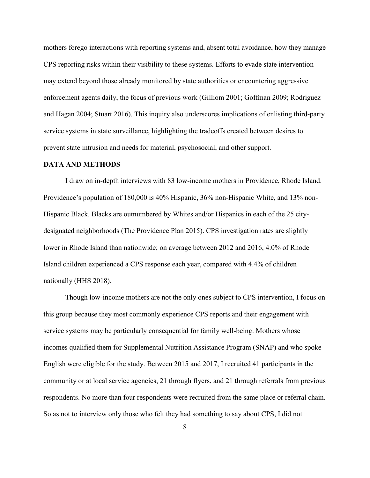mothers forego interactions with reporting systems and, absent total avoidance, how they manage CPS reporting risks within their visibility to these systems. Efforts to evade state intervention may extend beyond those already monitored by state authorities or encountering aggressive enforcement agents daily, the focus of previous work (Gilliom 2001; Goffman 2009; Rodríguez and Hagan 2004; Stuart 2016). This inquiry also underscores implications of enlisting third-party service systems in state surveillance, highlighting the tradeoffs created between desires to prevent state intrusion and needs for material, psychosocial, and other support.

#### DATA AND METHODS

I draw on in-depth interviews with 83 low-income mothers in Providence, Rhode Island. Providence's population of 180,000 is 40% Hispanic, 36% non-Hispanic White, and 13% non-Hispanic Black. Blacks are outnumbered by Whites and/or Hispanics in each of the 25 citydesignated neighborhoods (The Providence Plan 2015). CPS investigation rates are slightly lower in Rhode Island than nationwide; on average between 2012 and 2016, 4.0% of Rhode Island children experienced a CPS response each year, compared with 4.4% of children nationally (HHS 2018).

Though low-income mothers are not the only ones subject to CPS intervention, I focus on this group because they most commonly experience CPS reports and their engagement with service systems may be particularly consequential for family well-being. Mothers whose incomes qualified them for Supplemental Nutrition Assistance Program (SNAP) and who spoke English were eligible for the study. Between 2015 and 2017, I recruited 41 participants in the community or at local service agencies, 21 through flyers, and 21 through referrals from previous respondents. No more than four respondents were recruited from the same place or referral chain. So as not to interview only those who felt they had something to say about CPS, I did not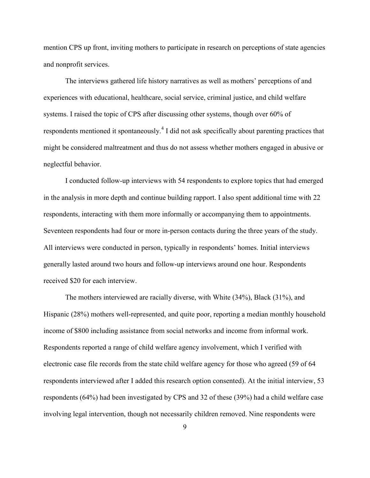mention CPS up front, inviting mothers to participate in research on perceptions of state agencies and nonprofit services.

The interviews gathered life history narratives as well as mothers' perceptions of and experiences with educational, healthcare, social service, criminal justice, and child welfare systems. I raised the topic of CPS after discussing other systems, though over 60% of respondents mentioned it spontaneously.<sup>4</sup> I did not ask specifically about parenting practices that might be considered maltreatment and thus do not assess whether mothers engaged in abusive or neglectful behavior.

I conducted follow-up interviews with 54 respondents to explore topics that had emerged in the analysis in more depth and continue building rapport. I also spent additional time with 22 respondents, interacting with them more informally or accompanying them to appointments. Seventeen respondents had four or more in-person contacts during the three years of the study. All interviews were conducted in person, typically in respondents' homes. Initial interviews generally lasted around two hours and follow-up interviews around one hour. Respondents received \$20 for each interview.

The mothers interviewed are racially diverse, with White (34%), Black (31%), and Hispanic (28%) mothers well-represented, and quite poor, reporting a median monthly household income of \$800 including assistance from social networks and income from informal work. Respondents reported a range of child welfare agency involvement, which I verified with electronic case file records from the state child welfare agency for those who agreed (59 of 64 respondents interviewed after I added this research option consented). At the initial interview, 53 respondents (64%) had been investigated by CPS and 32 of these (39%) had a child welfare case involving legal intervention, though not necessarily children removed. Nine respondents were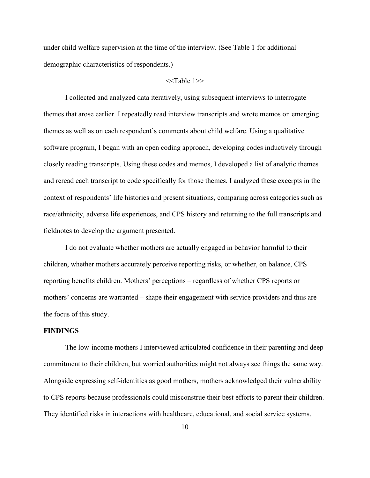under child welfare supervision at the time of the interview. (See Table 1 for additional demographic characteristics of respondents.)

### <<Table 1>>

I collected and analyzed data iteratively, using subsequent interviews to interrogate themes that arose earlier. I repeatedly read interview transcripts and wrote memos on emerging themes as well as on each respondent's comments about child welfare. Using a qualitative software program, I began with an open coding approach, developing codes inductively through closely reading transcripts. Using these codes and memos, I developed a list of analytic themes and reread each transcript to code specifically for those themes. I analyzed these excerpts in the context of respondents' life histories and present situations, comparing across categories such as race/ethnicity, adverse life experiences, and CPS history and returning to the full transcripts and fieldnotes to develop the argument presented.

I do not evaluate whether mothers are actually engaged in behavior harmful to their children, whether mothers accurately perceive reporting risks, or whether, on balance, CPS reporting benefits children. Mothers' perceptions – regardless of whether CPS reports or mothers' concerns are warranted – shape their engagement with service providers and thus are the focus of this study.

### **FINDINGS**

The low-income mothers I interviewed articulated confidence in their parenting and deep commitment to their children, but worried authorities might not always see things the same way. Alongside expressing self-identities as good mothers, mothers acknowledged their vulnerability to CPS reports because professionals could misconstrue their best efforts to parent their children. They identified risks in interactions with healthcare, educational, and social service systems.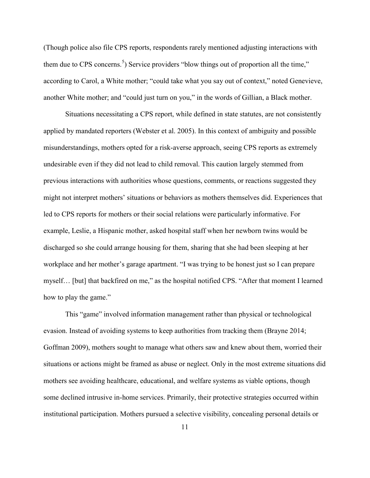(Though police also file CPS reports, respondents rarely mentioned adjusting interactions with them due to CPS concerns.<sup>5</sup>) Service providers "blow things out of proportion all the time," according to Carol, a White mother; "could take what you say out of context," noted Genevieve, another White mother; and "could just turn on you," in the words of Gillian, a Black mother.

Situations necessitating a CPS report, while defined in state statutes, are not consistently applied by mandated reporters (Webster et al. 2005). In this context of ambiguity and possible misunderstandings, mothers opted for a risk-averse approach, seeing CPS reports as extremely undesirable even if they did not lead to child removal. This caution largely stemmed from previous interactions with authorities whose questions, comments, or reactions suggested they might not interpret mothers' situations or behaviors as mothers themselves did. Experiences that led to CPS reports for mothers or their social relations were particularly informative. For example, Leslie, a Hispanic mother, asked hospital staff when her newborn twins would be discharged so she could arrange housing for them, sharing that she had been sleeping at her workplace and her mother's garage apartment. "I was trying to be honest just so I can prepare myself… [but] that backfired on me," as the hospital notified CPS. "After that moment I learned how to play the game."

This "game" involved information management rather than physical or technological evasion. Instead of avoiding systems to keep authorities from tracking them (Brayne 2014; Goffman 2009), mothers sought to manage what others saw and knew about them, worried their situations or actions might be framed as abuse or neglect. Only in the most extreme situations did mothers see avoiding healthcare, educational, and welfare systems as viable options, though some declined intrusive in-home services. Primarily, their protective strategies occurred within institutional participation. Mothers pursued a selective visibility, concealing personal details or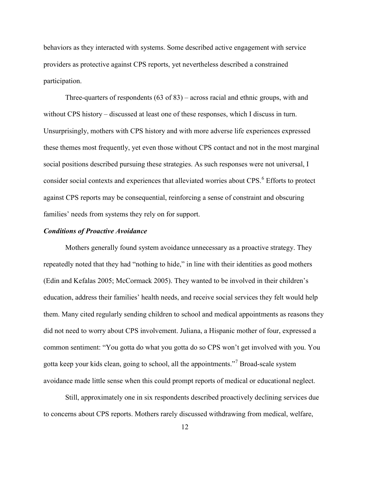behaviors as they interacted with systems. Some described active engagement with service providers as protective against CPS reports, yet nevertheless described a constrained participation.

Three-quarters of respondents (63 of 83) – across racial and ethnic groups, with and without CPS history – discussed at least one of these responses, which I discuss in turn. Unsurprisingly, mothers with CPS history and with more adverse life experiences expressed these themes most frequently, yet even those without CPS contact and not in the most marginal social positions described pursuing these strategies. As such responses were not universal, I consider social contexts and experiences that alleviated worries about CPS.<sup>6</sup> Efforts to protect against CPS reports may be consequential, reinforcing a sense of constraint and obscuring families' needs from systems they rely on for support.

### Conditions of Proactive Avoidance

Mothers generally found system avoidance unnecessary as a proactive strategy. They repeatedly noted that they had "nothing to hide," in line with their identities as good mothers (Edin and Kefalas 2005; McCormack 2005). They wanted to be involved in their children's education, address their families' health needs, and receive social services they felt would help them. Many cited regularly sending children to school and medical appointments as reasons they did not need to worry about CPS involvement. Juliana, a Hispanic mother of four, expressed a common sentiment: "You gotta do what you gotta do so CPS won't get involved with you. You gotta keep your kids clean, going to school, all the appointments."<sup>7</sup> Broad-scale system avoidance made little sense when this could prompt reports of medical or educational neglect.

Still, approximately one in six respondents described proactively declining services due to concerns about CPS reports. Mothers rarely discussed withdrawing from medical, welfare,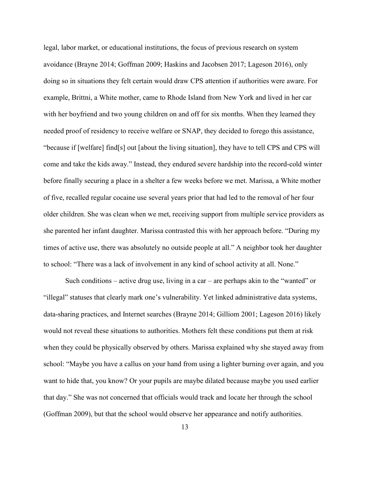legal, labor market, or educational institutions, the focus of previous research on system avoidance (Brayne 2014; Goffman 2009; Haskins and Jacobsen 2017; Lageson 2016), only doing so in situations they felt certain would draw CPS attention if authorities were aware. For example, Brittni, a White mother, came to Rhode Island from New York and lived in her car with her boyfriend and two young children on and off for six months. When they learned they needed proof of residency to receive welfare or SNAP, they decided to forego this assistance, "because if [welfare] find[s] out [about the living situation], they have to tell CPS and CPS will come and take the kids away." Instead, they endured severe hardship into the record-cold winter before finally securing a place in a shelter a few weeks before we met. Marissa, a White mother of five, recalled regular cocaine use several years prior that had led to the removal of her four older children. She was clean when we met, receiving support from multiple service providers as she parented her infant daughter. Marissa contrasted this with her approach before. "During my times of active use, there was absolutely no outside people at all." A neighbor took her daughter to school: "There was a lack of involvement in any kind of school activity at all. None."

Such conditions – active drug use, living in a car – are perhaps akin to the "wanted" or "illegal" statuses that clearly mark one's vulnerability. Yet linked administrative data systems, data-sharing practices, and Internet searches (Brayne 2014; Gilliom 2001; Lageson 2016) likely would not reveal these situations to authorities. Mothers felt these conditions put them at risk when they could be physically observed by others. Marissa explained why she stayed away from school: "Maybe you have a callus on your hand from using a lighter burning over again, and you want to hide that, you know? Or your pupils are maybe dilated because maybe you used earlier that day." She was not concerned that officials would track and locate her through the school (Goffman 2009), but that the school would observe her appearance and notify authorities.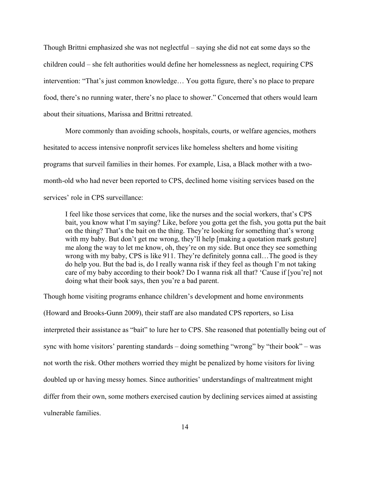Though Brittni emphasized she was not neglectful – saying she did not eat some days so the children could – she felt authorities would define her homelessness as neglect, requiring CPS intervention: "That's just common knowledge… You gotta figure, there's no place to prepare food, there's no running water, there's no place to shower." Concerned that others would learn about their situations, Marissa and Brittni retreated.

More commonly than avoiding schools, hospitals, courts, or welfare agencies, mothers hesitated to access intensive nonprofit services like homeless shelters and home visiting programs that surveil families in their homes. For example, Lisa, a Black mother with a twomonth-old who had never been reported to CPS, declined home visiting services based on the services' role in CPS surveillance:

I feel like those services that come, like the nurses and the social workers, that's CPS bait, you know what I'm saying? Like, before you gotta get the fish, you gotta put the bait on the thing? That's the bait on the thing. They're looking for something that's wrong with my baby. But don't get me wrong, they'll help [making a quotation mark gesture] me along the way to let me know, oh, they're on my side. But once they see something wrong with my baby, CPS is like 911. They're definitely gonna call…The good is they do help you. But the bad is, do I really wanna risk if they feel as though I'm not taking care of my baby according to their book? Do I wanna risk all that? 'Cause if [you're] not doing what their book says, then you're a bad parent.

Though home visiting programs enhance children's development and home environments (Howard and Brooks-Gunn 2009), their staff are also mandated CPS reporters, so Lisa interpreted their assistance as "bait" to lure her to CPS. She reasoned that potentially being out of sync with home visitors' parenting standards – doing something "wrong" by "their book" – was not worth the risk. Other mothers worried they might be penalized by home visitors for living doubled up or having messy homes. Since authorities' understandings of maltreatment might differ from their own, some mothers exercised caution by declining services aimed at assisting vulnerable families.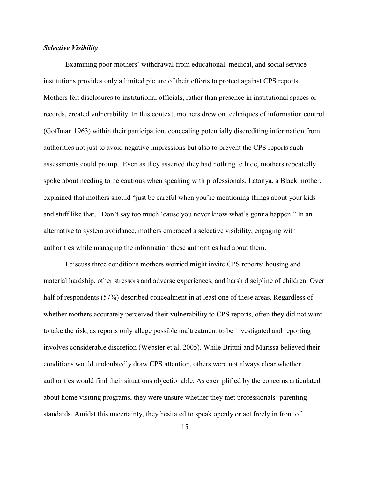# Selective Visibility

Examining poor mothers' withdrawal from educational, medical, and social service institutions provides only a limited picture of their efforts to protect against CPS reports. Mothers felt disclosures to institutional officials, rather than presence in institutional spaces or records, created vulnerability. In this context, mothers drew on techniques of information control (Goffman 1963) within their participation, concealing potentially discrediting information from authorities not just to avoid negative impressions but also to prevent the CPS reports such assessments could prompt. Even as they asserted they had nothing to hide, mothers repeatedly spoke about needing to be cautious when speaking with professionals. Latanya, a Black mother, explained that mothers should "just be careful when you're mentioning things about your kids and stuff like that…Don't say too much 'cause you never know what's gonna happen." In an alternative to system avoidance, mothers embraced a selective visibility, engaging with authorities while managing the information these authorities had about them.

I discuss three conditions mothers worried might invite CPS reports: housing and material hardship, other stressors and adverse experiences, and harsh discipline of children. Over half of respondents (57%) described concealment in at least one of these areas. Regardless of whether mothers accurately perceived their vulnerability to CPS reports, often they did not want to take the risk, as reports only allege possible maltreatment to be investigated and reporting involves considerable discretion (Webster et al. 2005). While Brittni and Marissa believed their conditions would undoubtedly draw CPS attention, others were not always clear whether authorities would find their situations objectionable. As exemplified by the concerns articulated about home visiting programs, they were unsure whether they met professionals' parenting standards. Amidst this uncertainty, they hesitated to speak openly or act freely in front of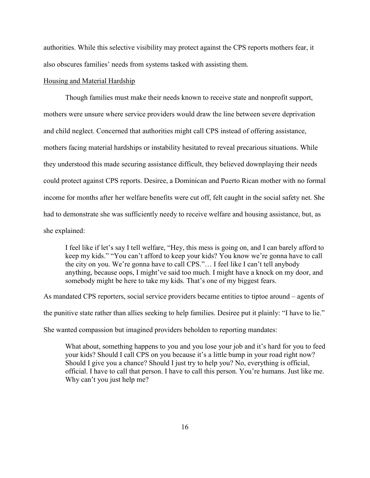authorities. While this selective visibility may protect against the CPS reports mothers fear, it also obscures families' needs from systems tasked with assisting them.

# Housing and Material Hardship

Though families must make their needs known to receive state and nonprofit support, mothers were unsure where service providers would draw the line between severe deprivation and child neglect. Concerned that authorities might call CPS instead of offering assistance, mothers facing material hardships or instability hesitated to reveal precarious situations. While they understood this made securing assistance difficult, they believed downplaying their needs could protect against CPS reports. Desiree, a Dominican and Puerto Rican mother with no formal income for months after her welfare benefits were cut off, felt caught in the social safety net. She had to demonstrate she was sufficiently needy to receive welfare and housing assistance, but, as she explained:

I feel like if let's say I tell welfare, "Hey, this mess is going on, and I can barely afford to keep my kids." "You can't afford to keep your kids? You know we're gonna have to call the city on you. We're gonna have to call CPS."… I feel like I can't tell anybody anything, because oops, I might've said too much. I might have a knock on my door, and somebody might be here to take my kids. That's one of my biggest fears.

As mandated CPS reporters, social service providers became entities to tiptoe around – agents of the punitive state rather than allies seeking to help families. Desiree put it plainly: "I have to lie." She wanted compassion but imagined providers beholden to reporting mandates:

What about, something happens to you and you lose your job and it's hard for you to feed your kids? Should I call CPS on you because it's a little bump in your road right now? Should I give you a chance? Should I just try to help you? No, everything is official, official. I have to call that person. I have to call this person. You're humans. Just like me. Why can't you just help me?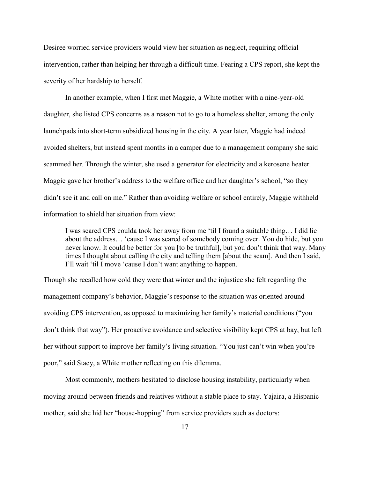Desiree worried service providers would view her situation as neglect, requiring official intervention, rather than helping her through a difficult time. Fearing a CPS report, she kept the severity of her hardship to herself.

In another example, when I first met Maggie, a White mother with a nine-year-old daughter, she listed CPS concerns as a reason not to go to a homeless shelter, among the only launchpads into short-term subsidized housing in the city. A year later, Maggie had indeed avoided shelters, but instead spent months in a camper due to a management company she said scammed her. Through the winter, she used a generator for electricity and a kerosene heater. Maggie gave her brother's address to the welfare office and her daughter's school, "so they didn't see it and call on me." Rather than avoiding welfare or school entirely, Maggie withheld information to shield her situation from view:

I was scared CPS coulda took her away from me 'til I found a suitable thing… I did lie about the address… 'cause I was scared of somebody coming over. You do hide, but you never know. It could be better for you [to be truthful], but you don't think that way. Many times I thought about calling the city and telling them [about the scam]. And then I said, I'll wait 'til I move 'cause I don't want anything to happen.

Though she recalled how cold they were that winter and the injustice she felt regarding the management company's behavior, Maggie's response to the situation was oriented around avoiding CPS intervention, as opposed to maximizing her family's material conditions ("you don't think that way"). Her proactive avoidance and selective visibility kept CPS at bay, but left her without support to improve her family's living situation. "You just can't win when you're poor," said Stacy, a White mother reflecting on this dilemma.

Most commonly, mothers hesitated to disclose housing instability, particularly when moving around between friends and relatives without a stable place to stay. Yajaira, a Hispanic mother, said she hid her "house-hopping" from service providers such as doctors: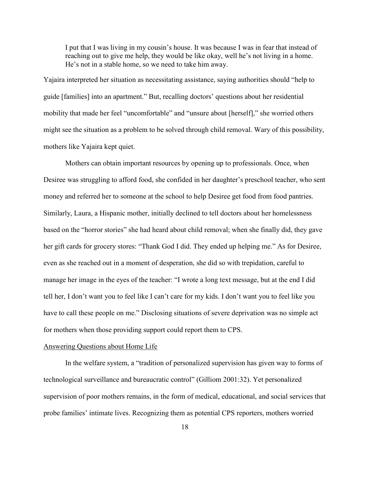I put that I was living in my cousin's house. It was because I was in fear that instead of reaching out to give me help, they would be like okay, well he's not living in a home. He's not in a stable home, so we need to take him away.

Yajaira interpreted her situation as necessitating assistance, saying authorities should "help to guide [families] into an apartment." But, recalling doctors' questions about her residential mobility that made her feel "uncomfortable" and "unsure about [herself]," she worried others might see the situation as a problem to be solved through child removal. Wary of this possibility, mothers like Yajaira kept quiet.

Mothers can obtain important resources by opening up to professionals. Once, when Desiree was struggling to afford food, she confided in her daughter's preschool teacher, who sent money and referred her to someone at the school to help Desiree get food from food pantries. Similarly, Laura, a Hispanic mother, initially declined to tell doctors about her homelessness based on the "horror stories" she had heard about child removal; when she finally did, they gave her gift cards for grocery stores: "Thank God I did. They ended up helping me." As for Desiree, even as she reached out in a moment of desperation, she did so with trepidation, careful to manage her image in the eyes of the teacher: "I wrote a long text message, but at the end I did tell her, I don't want you to feel like I can't care for my kids. I don't want you to feel like you have to call these people on me." Disclosing situations of severe deprivation was no simple act for mothers when those providing support could report them to CPS.

# Answering Questions about Home Life

In the welfare system, a "tradition of personalized supervision has given way to forms of technological surveillance and bureaucratic control" (Gilliom 2001:32). Yet personalized supervision of poor mothers remains, in the form of medical, educational, and social services that probe families' intimate lives. Recognizing them as potential CPS reporters, mothers worried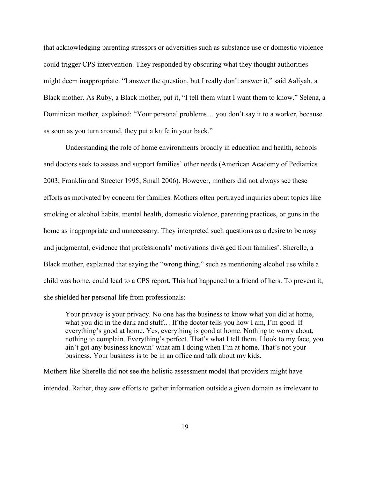that acknowledging parenting stressors or adversities such as substance use or domestic violence could trigger CPS intervention. They responded by obscuring what they thought authorities might deem inappropriate. "I answer the question, but I really don't answer it," said Aaliyah, a Black mother. As Ruby, a Black mother, put it, "I tell them what I want them to know." Selena, a Dominican mother, explained: "Your personal problems… you don't say it to a worker, because as soon as you turn around, they put a knife in your back."

Understanding the role of home environments broadly in education and health, schools and doctors seek to assess and support families' other needs (American Academy of Pediatrics 2003; Franklin and Streeter 1995; Small 2006). However, mothers did not always see these efforts as motivated by concern for families. Mothers often portrayed inquiries about topics like smoking or alcohol habits, mental health, domestic violence, parenting practices, or guns in the home as inappropriate and unnecessary. They interpreted such questions as a desire to be nosy and judgmental, evidence that professionals' motivations diverged from families'. Sherelle, a Black mother, explained that saying the "wrong thing," such as mentioning alcohol use while a child was home, could lead to a CPS report. This had happened to a friend of hers. To prevent it, she shielded her personal life from professionals:

Your privacy is your privacy. No one has the business to know what you did at home, what you did in the dark and stuff... If the doctor tells you how I am, I'm good. If everything's good at home. Yes, everything is good at home. Nothing to worry about, nothing to complain. Everything's perfect. That's what I tell them. I look to my face, you ain't got any business knowin' what am I doing when I'm at home. That's not your business. Your business is to be in an office and talk about my kids.

Mothers like Sherelle did not see the holistic assessment model that providers might have intended. Rather, they saw efforts to gather information outside a given domain as irrelevant to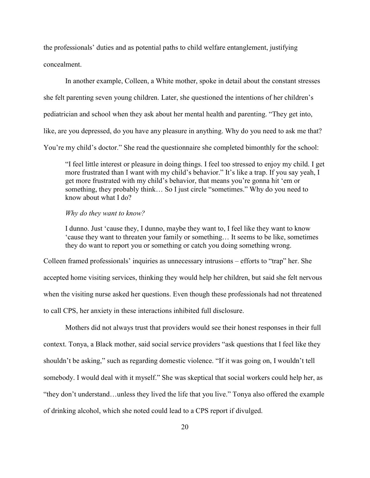the professionals' duties and as potential paths to child welfare entanglement, justifying concealment.

In another example, Colleen, a White mother, spoke in detail about the constant stresses she felt parenting seven young children. Later, she questioned the intentions of her children's pediatrician and school when they ask about her mental health and parenting. "They get into, like, are you depressed, do you have any pleasure in anything. Why do you need to ask me that? You're my child's doctor." She read the questionnaire she completed bimonthly for the school:

"I feel little interest or pleasure in doing things. I feel too stressed to enjoy my child. I get more frustrated than I want with my child's behavior." It's like a trap. If you say yeah, I get more frustrated with my child's behavior, that means you're gonna hit 'em or something, they probably think… So I just circle "sometimes." Why do you need to know about what I do?

### Why do they want to know?

I dunno. Just 'cause they, I dunno, maybe they want to, I feel like they want to know 'cause they want to threaten your family or something… It seems to be like, sometimes they do want to report you or something or catch you doing something wrong.

Colleen framed professionals' inquiries as unnecessary intrusions – efforts to "trap" her. She accepted home visiting services, thinking they would help her children, but said she felt nervous when the visiting nurse asked her questions. Even though these professionals had not threatened to call CPS, her anxiety in these interactions inhibited full disclosure.

Mothers did not always trust that providers would see their honest responses in their full context. Tonya, a Black mother, said social service providers "ask questions that I feel like they shouldn't be asking," such as regarding domestic violence. "If it was going on, I wouldn't tell somebody. I would deal with it myself." She was skeptical that social workers could help her, as "they don't understand…unless they lived the life that you live." Tonya also offered the example of drinking alcohol, which she noted could lead to a CPS report if divulged.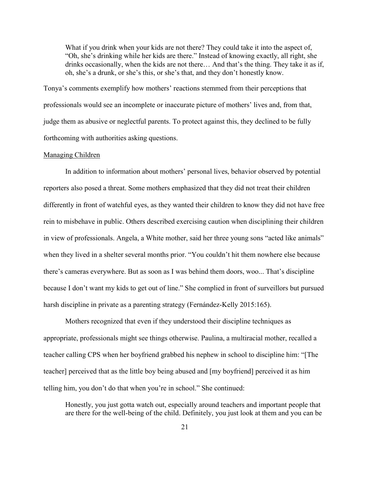What if you drink when your kids are not there? They could take it into the aspect of, "Oh, she's drinking while her kids are there." Instead of knowing exactly, all right, she drinks occasionally, when the kids are not there… And that's the thing. They take it as if, oh, she's a drunk, or she's this, or she's that, and they don't honestly know.

Tonya's comments exemplify how mothers' reactions stemmed from their perceptions that professionals would see an incomplete or inaccurate picture of mothers' lives and, from that, judge them as abusive or neglectful parents. To protect against this, they declined to be fully forthcoming with authorities asking questions.

#### Managing Children

In addition to information about mothers' personal lives, behavior observed by potential reporters also posed a threat. Some mothers emphasized that they did not treat their children differently in front of watchful eyes, as they wanted their children to know they did not have free rein to misbehave in public. Others described exercising caution when disciplining their children in view of professionals. Angela, a White mother, said her three young sons "acted like animals" when they lived in a shelter several months prior. "You couldn't hit them nowhere else because there's cameras everywhere. But as soon as I was behind them doors, woo... That's discipline because I don't want my kids to get out of line." She complied in front of surveillors but pursued harsh discipline in private as a parenting strategy (Fernández-Kelly 2015:165).

Mothers recognized that even if they understood their discipline techniques as appropriate, professionals might see things otherwise. Paulina, a multiracial mother, recalled a teacher calling CPS when her boyfriend grabbed his nephew in school to discipline him: "[The teacher] perceived that as the little boy being abused and [my boyfriend] perceived it as him telling him, you don't do that when you're in school." She continued:

Honestly, you just gotta watch out, especially around teachers and important people that are there for the well-being of the child. Definitely, you just look at them and you can be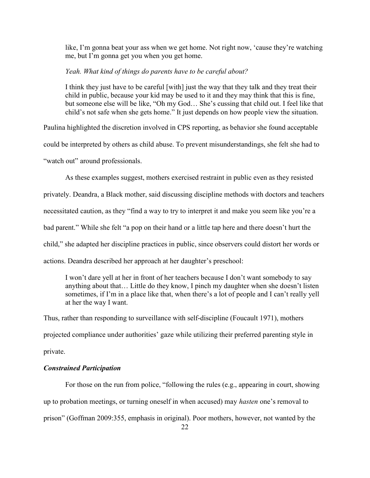like, I'm gonna beat your ass when we get home. Not right now, 'cause they're watching me, but I'm gonna get you when you get home.

### Yeah. What kind of things do parents have to be careful about?

I think they just have to be careful [with] just the way that they talk and they treat their child in public, because your kid may be used to it and they may think that this is fine, but someone else will be like, "Oh my God… She's cussing that child out. I feel like that child's not safe when she gets home." It just depends on how people view the situation.

Paulina highlighted the discretion involved in CPS reporting, as behavior she found acceptable could be interpreted by others as child abuse. To prevent misunderstandings, she felt she had to "watch out" around professionals.

As these examples suggest, mothers exercised restraint in public even as they resisted privately. Deandra, a Black mother, said discussing discipline methods with doctors and teachers necessitated caution, as they "find a way to try to interpret it and make you seem like you're a bad parent." While she felt "a pop on their hand or a little tap here and there doesn't hurt the child," she adapted her discipline practices in public, since observers could distort her words or actions. Deandra described her approach at her daughter's preschool:

I won't dare yell at her in front of her teachers because I don't want somebody to say anything about that… Little do they know, I pinch my daughter when she doesn't listen sometimes, if I'm in a place like that, when there's a lot of people and I can't really yell at her the way I want.

Thus, rather than responding to surveillance with self-discipline (Foucault 1971), mothers projected compliance under authorities' gaze while utilizing their preferred parenting style in private.

# Constrained Participation

For those on the run from police, "following the rules (e.g., appearing in court, showing up to probation meetings, or turning oneself in when accused) may hasten one's removal to prison" (Goffman 2009:355, emphasis in original). Poor mothers, however, not wanted by the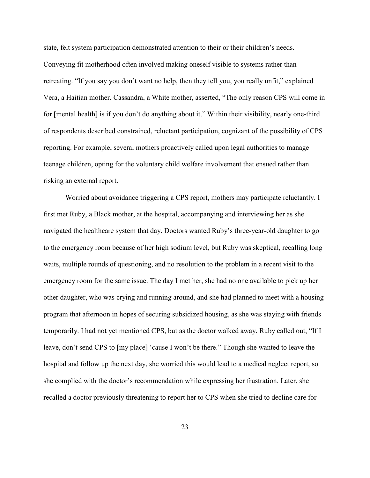state, felt system participation demonstrated attention to their or their children's needs. Conveying fit motherhood often involved making oneself visible to systems rather than retreating. "If you say you don't want no help, then they tell you, you really unfit," explained Vera, a Haitian mother. Cassandra, a White mother, asserted, "The only reason CPS will come in for [mental health] is if you don't do anything about it." Within their visibility, nearly one-third of respondents described constrained, reluctant participation, cognizant of the possibility of CPS reporting. For example, several mothers proactively called upon legal authorities to manage teenage children, opting for the voluntary child welfare involvement that ensued rather than risking an external report.

Worried about avoidance triggering a CPS report, mothers may participate reluctantly. I first met Ruby, a Black mother, at the hospital, accompanying and interviewing her as she navigated the healthcare system that day. Doctors wanted Ruby's three-year-old daughter to go to the emergency room because of her high sodium level, but Ruby was skeptical, recalling long waits, multiple rounds of questioning, and no resolution to the problem in a recent visit to the emergency room for the same issue. The day I met her, she had no one available to pick up her other daughter, who was crying and running around, and she had planned to meet with a housing program that afternoon in hopes of securing subsidized housing, as she was staying with friends temporarily. I had not yet mentioned CPS, but as the doctor walked away, Ruby called out, "If I leave, don't send CPS to [my place] 'cause I won't be there." Though she wanted to leave the hospital and follow up the next day, she worried this would lead to a medical neglect report, so she complied with the doctor's recommendation while expressing her frustration. Later, she recalled a doctor previously threatening to report her to CPS when she tried to decline care for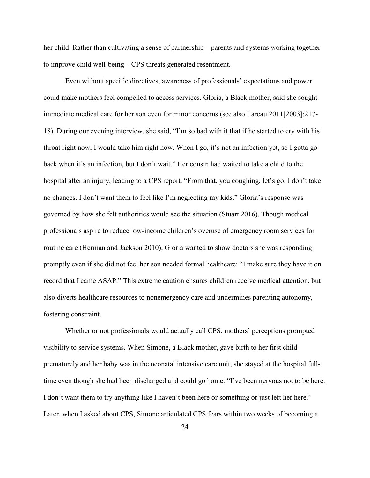her child. Rather than cultivating a sense of partnership – parents and systems working together to improve child well-being – CPS threats generated resentment.

Even without specific directives, awareness of professionals' expectations and power could make mothers feel compelled to access services. Gloria, a Black mother, said she sought immediate medical care for her son even for minor concerns (see also Lareau 2011[2003]:217- 18). During our evening interview, she said, "I'm so bad with it that if he started to cry with his throat right now, I would take him right now. When I go, it's not an infection yet, so I gotta go back when it's an infection, but I don't wait." Her cousin had waited to take a child to the hospital after an injury, leading to a CPS report. "From that, you coughing, let's go. I don't take no chances. I don't want them to feel like I'm neglecting my kids." Gloria's response was governed by how she felt authorities would see the situation (Stuart 2016). Though medical professionals aspire to reduce low-income children's overuse of emergency room services for routine care (Herman and Jackson 2010), Gloria wanted to show doctors she was responding promptly even if she did not feel her son needed formal healthcare: "I make sure they have it on record that I came ASAP." This extreme caution ensures children receive medical attention, but also diverts healthcare resources to nonemergency care and undermines parenting autonomy, fostering constraint.

Whether or not professionals would actually call CPS, mothers' perceptions prompted visibility to service systems. When Simone, a Black mother, gave birth to her first child prematurely and her baby was in the neonatal intensive care unit, she stayed at the hospital fulltime even though she had been discharged and could go home. "I've been nervous not to be here. I don't want them to try anything like I haven't been here or something or just left her here." Later, when I asked about CPS, Simone articulated CPS fears within two weeks of becoming a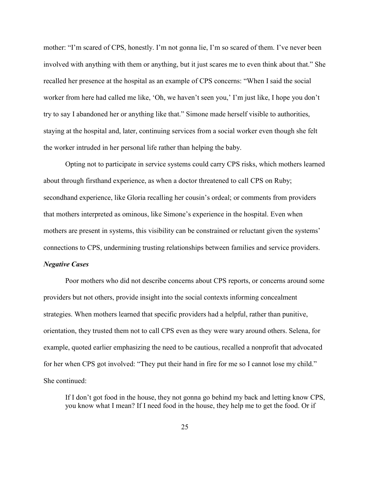mother: "I'm scared of CPS, honestly. I'm not gonna lie, I'm so scared of them. I've never been involved with anything with them or anything, but it just scares me to even think about that." She recalled her presence at the hospital as an example of CPS concerns: "When I said the social worker from here had called me like, 'Oh, we haven't seen you,' I'm just like, I hope you don't try to say I abandoned her or anything like that." Simone made herself visible to authorities, staying at the hospital and, later, continuing services from a social worker even though she felt the worker intruded in her personal life rather than helping the baby.

Opting not to participate in service systems could carry CPS risks, which mothers learned about through firsthand experience, as when a doctor threatened to call CPS on Ruby; secondhand experience, like Gloria recalling her cousin's ordeal; or comments from providers that mothers interpreted as ominous, like Simone's experience in the hospital. Even when mothers are present in systems, this visibility can be constrained or reluctant given the systems' connections to CPS, undermining trusting relationships between families and service providers.

### Negative Cases

Poor mothers who did not describe concerns about CPS reports, or concerns around some providers but not others, provide insight into the social contexts informing concealment strategies. When mothers learned that specific providers had a helpful, rather than punitive, orientation, they trusted them not to call CPS even as they were wary around others. Selena, for example, quoted earlier emphasizing the need to be cautious, recalled a nonprofit that advocated for her when CPS got involved: "They put their hand in fire for me so I cannot lose my child." She continued:

If I don't got food in the house, they not gonna go behind my back and letting know CPS, you know what I mean? If I need food in the house, they help me to get the food. Or if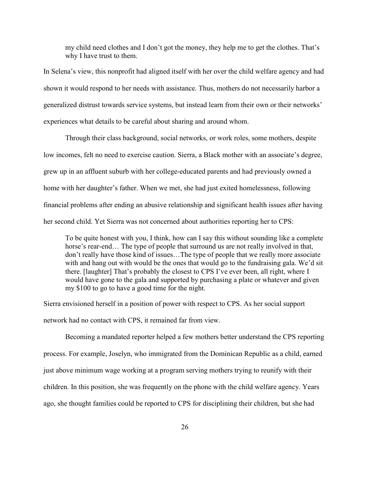my child need clothes and I don't got the money, they help me to get the clothes. That's why I have trust to them.

In Selena's view, this nonprofit had aligned itself with her over the child welfare agency and had shown it would respond to her needs with assistance. Thus, mothers do not necessarily harbor a generalized distrust towards service systems, but instead learn from their own or their networks' experiences what details to be careful about sharing and around whom.

Through their class background, social networks, or work roles, some mothers, despite low incomes, felt no need to exercise caution. Sierra, a Black mother with an associate's degree, grew up in an affluent suburb with her college-educated parents and had previously owned a home with her daughter's father. When we met, she had just exited homelessness, following financial problems after ending an abusive relationship and significant health issues after having her second child. Yet Sierra was not concerned about authorities reporting her to CPS:

To be quite honest with you, I think, how can I say this without sounding like a complete horse's rear-end... The type of people that surround us are not really involved in that, don't really have those kind of issues…The type of people that we really more associate with and hang out with would be the ones that would go to the fundraising gala. We'd sit there. [laughter] That's probably the closest to CPS I've ever been, all right, where I would have gone to the gala and supported by purchasing a plate or whatever and given my \$100 to go to have a good time for the night.

Sierra envisioned herself in a position of power with respect to CPS. As her social support network had no contact with CPS, it remained far from view.

Becoming a mandated reporter helped a few mothers better understand the CPS reporting process. For example, Joselyn, who immigrated from the Dominican Republic as a child, earned just above minimum wage working at a program serving mothers trying to reunify with their children. In this position, she was frequently on the phone with the child welfare agency. Years ago, she thought families could be reported to CPS for disciplining their children, but she had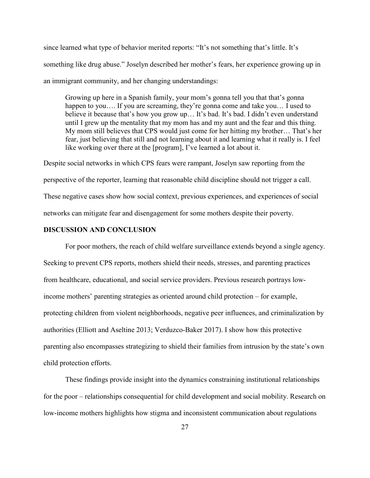since learned what type of behavior merited reports: "It's not something that's little. It's something like drug abuse." Joselyn described her mother's fears, her experience growing up in an immigrant community, and her changing understandings:

Growing up here in a Spanish family, your mom's gonna tell you that that's gonna happen to you.... If you are screaming, they're gonna come and take you... I used to believe it because that's how you grow up... It's bad. It's bad. I didn't even understand until I grew up the mentality that my mom has and my aunt and the fear and this thing. My mom still believes that CPS would just come for her hitting my brother… That's her fear, just believing that still and not learning about it and learning what it really is. I feel like working over there at the [program], I've learned a lot about it.

Despite social networks in which CPS fears were rampant, Joselyn saw reporting from the perspective of the reporter, learning that reasonable child discipline should not trigger a call. These negative cases show how social context, previous experiences, and experiences of social networks can mitigate fear and disengagement for some mothers despite their poverty.

# DISCUSSION AND CONCLUSION

For poor mothers, the reach of child welfare surveillance extends beyond a single agency. Seeking to prevent CPS reports, mothers shield their needs, stresses, and parenting practices from healthcare, educational, and social service providers. Previous research portrays lowincome mothers' parenting strategies as oriented around child protection – for example, protecting children from violent neighborhoods, negative peer influences, and criminalization by authorities (Elliott and Aseltine 2013; Verduzco-Baker 2017). I show how this protective parenting also encompasses strategizing to shield their families from intrusion by the state's own child protection efforts.

These findings provide insight into the dynamics constraining institutional relationships for the poor – relationships consequential for child development and social mobility. Research on low-income mothers highlights how stigma and inconsistent communication about regulations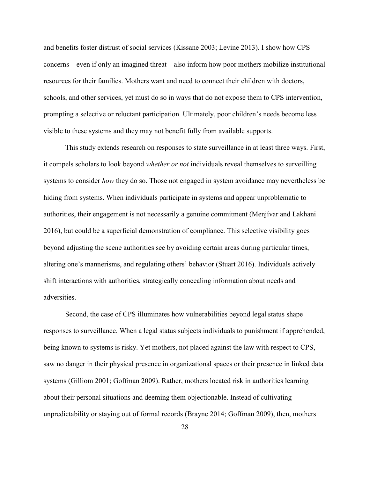and benefits foster distrust of social services (Kissane 2003; Levine 2013). I show how CPS concerns – even if only an imagined threat – also inform how poor mothers mobilize institutional resources for their families. Mothers want and need to connect their children with doctors, schools, and other services, yet must do so in ways that do not expose them to CPS intervention, prompting a selective or reluctant participation. Ultimately, poor children's needs become less visible to these systems and they may not benefit fully from available supports.

This study extends research on responses to state surveillance in at least three ways. First, it compels scholars to look beyond whether or not individuals reveal themselves to surveilling systems to consider how they do so. Those not engaged in system avoidance may nevertheless be hiding from systems. When individuals participate in systems and appear unproblematic to authorities, their engagement is not necessarily a genuine commitment (Menjívar and Lakhani 2016), but could be a superficial demonstration of compliance. This selective visibility goes beyond adjusting the scene authorities see by avoiding certain areas during particular times, altering one's mannerisms, and regulating others' behavior (Stuart 2016). Individuals actively shift interactions with authorities, strategically concealing information about needs and adversities.

 Second, the case of CPS illuminates how vulnerabilities beyond legal status shape responses to surveillance. When a legal status subjects individuals to punishment if apprehended, being known to systems is risky. Yet mothers, not placed against the law with respect to CPS, saw no danger in their physical presence in organizational spaces or their presence in linked data systems (Gilliom 2001; Goffman 2009). Rather, mothers located risk in authorities learning about their personal situations and deeming them objectionable. Instead of cultivating unpredictability or staying out of formal records (Brayne 2014; Goffman 2009), then, mothers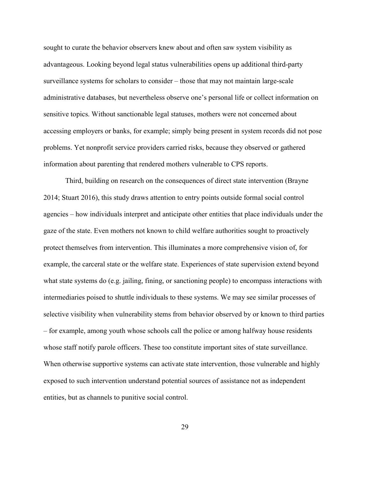sought to curate the behavior observers knew about and often saw system visibility as advantageous. Looking beyond legal status vulnerabilities opens up additional third-party surveillance systems for scholars to consider – those that may not maintain large-scale administrative databases, but nevertheless observe one's personal life or collect information on sensitive topics. Without sanctionable legal statuses, mothers were not concerned about accessing employers or banks, for example; simply being present in system records did not pose problems. Yet nonprofit service providers carried risks, because they observed or gathered information about parenting that rendered mothers vulnerable to CPS reports.

Third, building on research on the consequences of direct state intervention (Brayne 2014; Stuart 2016), this study draws attention to entry points outside formal social control agencies – how individuals interpret and anticipate other entities that place individuals under the gaze of the state. Even mothers not known to child welfare authorities sought to proactively protect themselves from intervention. This illuminates a more comprehensive vision of, for example, the carceral state or the welfare state. Experiences of state supervision extend beyond what state systems do (e.g. jailing, fining, or sanctioning people) to encompass interactions with intermediaries poised to shuttle individuals to these systems. We may see similar processes of selective visibility when vulnerability stems from behavior observed by or known to third parties – for example, among youth whose schools call the police or among halfway house residents whose staff notify parole officers. These too constitute important sites of state surveillance. When otherwise supportive systems can activate state intervention, those vulnerable and highly exposed to such intervention understand potential sources of assistance not as independent entities, but as channels to punitive social control.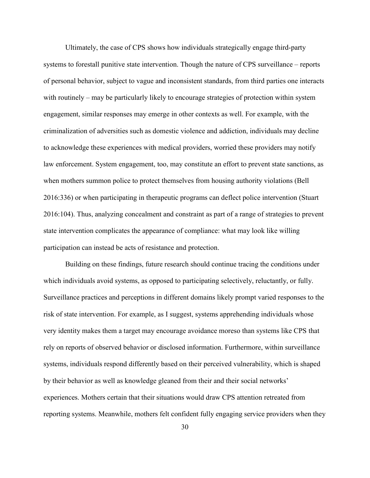Ultimately, the case of CPS shows how individuals strategically engage third-party systems to forestall punitive state intervention. Though the nature of CPS surveillance – reports of personal behavior, subject to vague and inconsistent standards, from third parties one interacts with routinely – may be particularly likely to encourage strategies of protection within system engagement, similar responses may emerge in other contexts as well. For example, with the criminalization of adversities such as domestic violence and addiction, individuals may decline to acknowledge these experiences with medical providers, worried these providers may notify law enforcement. System engagement, too, may constitute an effort to prevent state sanctions, as when mothers summon police to protect themselves from housing authority violations (Bell 2016:336) or when participating in therapeutic programs can deflect police intervention (Stuart 2016:104). Thus, analyzing concealment and constraint as part of a range of strategies to prevent state intervention complicates the appearance of compliance: what may look like willing participation can instead be acts of resistance and protection.

Building on these findings, future research should continue tracing the conditions under which individuals avoid systems, as opposed to participating selectively, reluctantly, or fully. Surveillance practices and perceptions in different domains likely prompt varied responses to the risk of state intervention. For example, as I suggest, systems apprehending individuals whose very identity makes them a target may encourage avoidance moreso than systems like CPS that rely on reports of observed behavior or disclosed information. Furthermore, within surveillance systems, individuals respond differently based on their perceived vulnerability, which is shaped by their behavior as well as knowledge gleaned from their and their social networks' experiences. Mothers certain that their situations would draw CPS attention retreated from reporting systems. Meanwhile, mothers felt confident fully engaging service providers when they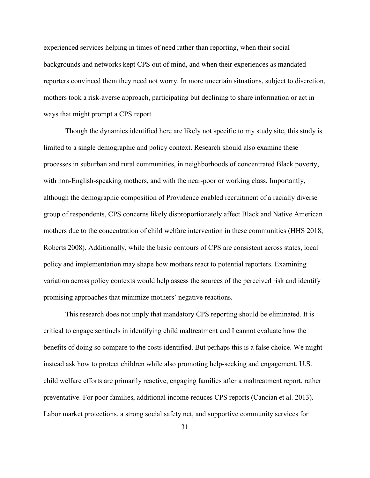experienced services helping in times of need rather than reporting, when their social backgrounds and networks kept CPS out of mind, and when their experiences as mandated reporters convinced them they need not worry. In more uncertain situations, subject to discretion, mothers took a risk-averse approach, participating but declining to share information or act in ways that might prompt a CPS report.

Though the dynamics identified here are likely not specific to my study site, this study is limited to a single demographic and policy context. Research should also examine these processes in suburban and rural communities, in neighborhoods of concentrated Black poverty, with non-English-speaking mothers, and with the near-poor or working class. Importantly, although the demographic composition of Providence enabled recruitment of a racially diverse group of respondents, CPS concerns likely disproportionately affect Black and Native American mothers due to the concentration of child welfare intervention in these communities (HHS 2018; Roberts 2008). Additionally, while the basic contours of CPS are consistent across states, local policy and implementation may shape how mothers react to potential reporters. Examining variation across policy contexts would help assess the sources of the perceived risk and identify promising approaches that minimize mothers' negative reactions.

This research does not imply that mandatory CPS reporting should be eliminated. It is critical to engage sentinels in identifying child maltreatment and I cannot evaluate how the benefits of doing so compare to the costs identified. But perhaps this is a false choice. We might instead ask how to protect children while also promoting help-seeking and engagement. U.S. child welfare efforts are primarily reactive, engaging families after a maltreatment report, rather preventative. For poor families, additional income reduces CPS reports (Cancian et al. 2013). Labor market protections, a strong social safety net, and supportive community services for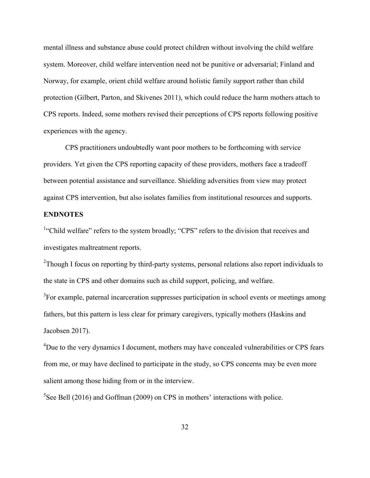mental illness and substance abuse could protect children without involving the child welfare system. Moreover, child welfare intervention need not be punitive or adversarial; Finland and Norway, for example, orient child welfare around holistic family support rather than child protection (Gilbert, Parton, and Skivenes 2011), which could reduce the harm mothers attach to CPS reports. Indeed, some mothers revised their perceptions of CPS reports following positive experiences with the agency.

CPS practitioners undoubtedly want poor mothers to be forthcoming with service providers. Yet given the CPS reporting capacity of these providers, mothers face a tradeoff between potential assistance and surveillance. Shielding adversities from view may protect against CPS intervention, but also isolates families from institutional resources and supports.

# ENDNOTES

<sup>1</sup>"Child welfare" refers to the system broadly; "CPS" refers to the division that receives and investigates maltreatment reports.

 $2$ Though I focus on reporting by third-party systems, personal relations also report individuals to the state in CPS and other domains such as child support, policing, and welfare.

<sup>3</sup>For example, paternal incarceration suppresses participation in school events or meetings among fathers, but this pattern is less clear for primary caregivers, typically mothers (Haskins and Jacobsen 2017).

<sup>4</sup>Due to the very dynamics I document, mothers may have concealed vulnerabilities or CPS fears from me, or may have declined to participate in the study, so CPS concerns may be even more salient among those hiding from or in the interview.

 ${}^{5}$ See Bell (2016) and Goffman (2009) on CPS in mothers' interactions with police.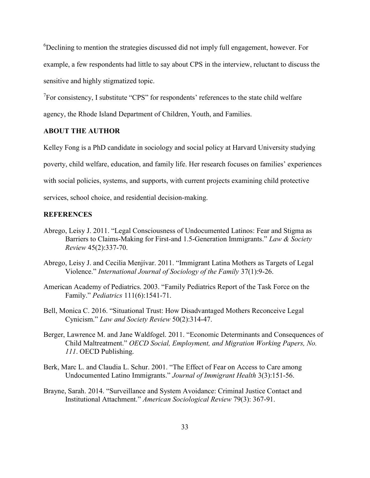${}^{6}$ Declining to mention the strategies discussed did not imply full engagement, however. For example, a few respondents had little to say about CPS in the interview, reluctant to discuss the sensitive and highly stigmatized topic.

 $T$ For consistency, I substitute "CPS" for respondents' references to the state child welfare

agency, the Rhode Island Department of Children, Youth, and Families.

# ABOUT THE AUTHOR

Kelley Fong is a PhD candidate in sociology and social policy at Harvard University studying

poverty, child welfare, education, and family life. Her research focuses on families' experiences

with social policies, systems, and supports, with current projects examining child protective

services, school choice, and residential decision-making.

# **REFERENCES**

- Abrego, Leisy J. 2011. "Legal Consciousness of Undocumented Latinos: Fear and Stigma as Barriers to Claims-Making for First-and 1.5-Generation Immigrants." Law & Society Review 45(2):337-70.
- Abrego, Leisy J. and Cecilia Menjívar. 2011. "Immigrant Latina Mothers as Targets of Legal Violence." International Journal of Sociology of the Family 37(1):9-26.
- American Academy of Pediatrics. 2003. "Family Pediatrics Report of the Task Force on the Family." Pediatrics 111(6):1541-71.
- Bell, Monica C. 2016. "Situational Trust: How Disadvantaged Mothers Reconceive Legal Cynicism." Law and Society Review 50(2):314-47.
- Berger, Lawrence M. and Jane Waldfogel. 2011. "Economic Determinants and Consequences of Child Maltreatment." OECD Social, Employment, and Migration Working Papers, No. 111. OECD Publishing.
- Berk, Marc L. and Claudia L. Schur. 2001. "The Effect of Fear on Access to Care among Undocumented Latino Immigrants." Journal of Immigrant Health 3(3):151-56.
- Brayne, Sarah. 2014. "Surveillance and System Avoidance: Criminal Justice Contact and Institutional Attachment." American Sociological Review 79(3): 367-91.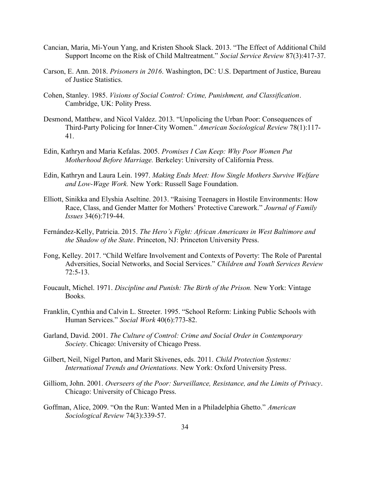- Cancian, Maria, Mi-Youn Yang, and Kristen Shook Slack. 2013. "The Effect of Additional Child Support Income on the Risk of Child Maltreatment." Social Service Review 87(3):417-37.
- Carson, E. Ann. 2018. Prisoners in 2016. Washington, DC: U.S. Department of Justice, Bureau of Justice Statistics.
- Cohen, Stanley. 1985. Visions of Social Control: Crime, Punishment, and Classification. Cambridge, UK: Polity Press.
- Desmond, Matthew, and Nicol Valdez. 2013. "Unpolicing the Urban Poor: Consequences of Third-Party Policing for Inner-City Women." American Sociological Review 78(1):117- 41.
- Edin, Kathryn and Maria Kefalas. 2005. Promises I Can Keep: Why Poor Women Put Motherhood Before Marriage. Berkeley: University of California Press.
- Edin, Kathryn and Laura Lein. 1997. Making Ends Meet: How Single Mothers Survive Welfare and Low-Wage Work. New York: Russell Sage Foundation.
- Elliott, Sinikka and Elyshia Aseltine. 2013. "Raising Teenagers in Hostile Environments: How Race, Class, and Gender Matter for Mothers' Protective Carework." Journal of Family Issues 34(6):719-44.
- Fernández-Kelly, Patricia. 2015. The Hero's Fight: African Americans in West Baltimore and the Shadow of the State. Princeton, NJ: Princeton University Press.
- Fong, Kelley. 2017. "Child Welfare Involvement and Contexts of Poverty: The Role of Parental Adversities, Social Networks, and Social Services." Children and Youth Services Review 72:5-13.
- Foucault, Michel. 1971. Discipline and Punish: The Birth of the Prison. New York: Vintage Books.
- Franklin, Cynthia and Calvin L. Streeter. 1995. "School Reform: Linking Public Schools with Human Services." Social Work 40(6):773-82.
- Garland, David. 2001. The Culture of Control: Crime and Social Order in Contemporary Society. Chicago: University of Chicago Press.
- Gilbert, Neil, Nigel Parton, and Marit Skivenes, eds. 2011. Child Protection Systems: International Trends and Orientations. New York: Oxford University Press.
- Gilliom, John. 2001. Overseers of the Poor: Surveillance, Resistance, and the Limits of Privacy. Chicago: University of Chicago Press.
- Goffman, Alice, 2009. "On the Run: Wanted Men in a Philadelphia Ghetto." American Sociological Review 74(3):339-57.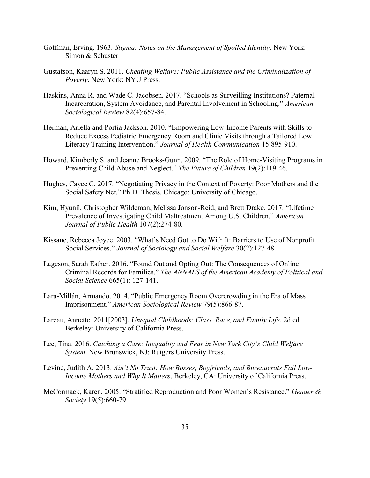- Goffman, Erving. 1963. Stigma: Notes on the Management of Spoiled Identity. New York: Simon & Schuster
- Gustafson, Kaaryn S. 2011. Cheating Welfare: Public Assistance and the Criminalization of Poverty. New York: NYU Press.
- Haskins, Anna R. and Wade C. Jacobsen. 2017. "Schools as Surveilling Institutions? Paternal Incarceration, System Avoidance, and Parental Involvement in Schooling." American Sociological Review 82(4):657-84.
- Herman, Ariella and Portia Jackson. 2010. "Empowering Low-Income Parents with Skills to Reduce Excess Pediatric Emergency Room and Clinic Visits through a Tailored Low Literacy Training Intervention." Journal of Health Communication 15:895-910.
- Howard, Kimberly S. and Jeanne Brooks-Gunn. 2009. "The Role of Home-Visiting Programs in Preventing Child Abuse and Neglect." The Future of Children 19(2):119-46.
- Hughes, Cayce C. 2017. "Negotiating Privacy in the Context of Poverty: Poor Mothers and the Social Safety Net." Ph.D. Thesis. Chicago: University of Chicago.
- Kim, Hyunil, Christopher Wildeman, Melissa Jonson-Reid, and Brett Drake. 2017. "Lifetime Prevalence of Investigating Child Maltreatment Among U.S. Children." American Journal of Public Health 107(2):274-80.
- Kissane, Rebecca Joyce. 2003. "What's Need Got to Do With It: Barriers to Use of Nonprofit Social Services." Journal of Sociology and Social Welfare 30(2):127-48.
- Lageson, Sarah Esther. 2016. "Found Out and Opting Out: The Consequences of Online Criminal Records for Families." The ANNALS of the American Academy of Political and Social Science 665(1): 127-141.
- Lara-Millán, Armando. 2014. "Public Emergency Room Overcrowding in the Era of Mass Imprisonment." American Sociological Review 79(5):866-87.
- Lareau, Annette. 2011[2003]. Unequal Childhoods: Class, Race, and Family Life, 2d ed. Berkeley: University of California Press.
- Lee, Tina. 2016. Catching a Case: Inequality and Fear in New York City's Child Welfare System. New Brunswick, NJ: Rutgers University Press.
- Levine, Judith A. 2013. Ain't No Trust: How Bosses, Boyfriends, and Bureaucrats Fail Low-Income Mothers and Why It Matters. Berkeley, CA: University of California Press.
- McCormack, Karen. 2005. "Stratified Reproduction and Poor Women's Resistance." Gender & Society 19(5):660-79.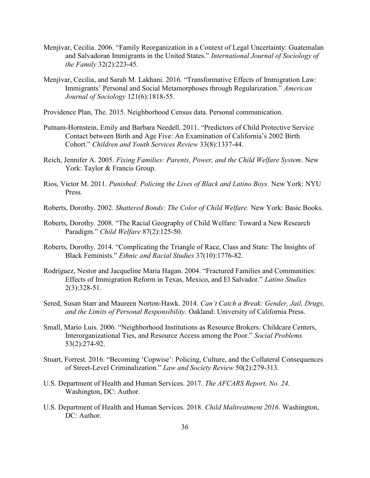- Menjívar, Cecilia. 2006. "Family Reorganization in a Context of Legal Uncertainty: Guatemalan and Salvadoran Immigrants in the United States." International Journal of Sociology of the Family 32(2):223-45.
- Menjívar, Cecilia, and Sarah M. Lakhani. 2016. "Transformative Effects of Immigration Law: Immigrants' Personal and Social Metamorphoses through Regularization." American Journal of Sociology 121(6):1818-55.

Providence Plan, The. 2015. Neighborhood Census data. Personal communication.

- Putnam-Hornstein, Emily and Barbara Needell. 2011. "Predictors of Child Protective Service Contact between Birth and Age Five: An Examination of California's 2002 Birth Cohort." Children and Youth Services Review 33(8):1337-44.
- Reich, Jennifer A. 2005. Fixing Families: Parents, Power, and the Child Welfare System. New York: Taylor & Francis Group.
- Rios, Victor M. 2011. Punished: Policing the Lives of Black and Latino Boys. New York: NYU Press.

Roberts, Dorothy. 2002. Shattered Bonds: The Color of Child Welfare. New York: Basic Books.

- Roberts, Dorothy. 2008. "The Racial Geography of Child Welfare: Toward a New Research Paradigm." Child Welfare 87(2):125-50.
- Roberts, Dorothy. 2014. "Complicating the Triangle of Race, Class and State: The Insights of Black Feminists." Ethnic and Racial Studies 37(10):1776-82.
- Rodríguez, Nestor and Jacqueline Maria Hagan. 2004. "Fractured Families and Communities: Effects of Immigration Reform in Texas, Mexico, and El Salvador." Latino Studies 2(3):328-51.
- Sered, Susan Starr and Maureen Norton-Hawk. 2014. Can't Catch a Break: Gender, Jail, Drugs, and the Limits of Personal Responsibility. Oakland: University of California Press.
- Small, Mario Luis. 2006. "Neighborhood Institutions as Resource Brokers: Childcare Centers, Interorganizational Ties, and Resource Access among the Poor." Social Problems 53(2):274-92.
- Stuart, Forrest. 2016. "Becoming 'Copwise': Policing, Culture, and the Collateral Consequences of Street-Level Criminalization." Law and Society Review 50(2):279-313.
- U.S. Department of Health and Human Services. 2017. The AFCARS Report, No. 24. Washington, DC: Author.
- U.S. Department of Health and Human Services. 2018. Child Maltreatment 2016. Washington, DC: Author.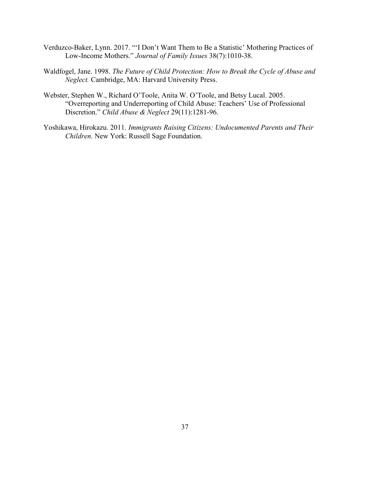- Verduzco-Baker, Lynn. 2017. "'I Don't Want Them to Be a Statistic' Mothering Practices of Low-Income Mothers." Journal of Family Issues 38(7):1010-38.
- Waldfogel, Jane. 1998. The Future of Child Protection: How to Break the Cycle of Abuse and Neglect. Cambridge, MA: Harvard University Press.
- Webster, Stephen W., Richard O'Toole, Anita W. O'Toole, and Betsy Lucal. 2005. "Overreporting and Underreporting of Child Abuse: Teachers' Use of Professional Discretion." Child Abuse & Neglect 29(11):1281-96.
- Yoshikawa, Hirokazu. 2011. Immigrants Raising Citizens: Undocumented Parents and Their Children. New York: Russell Sage Foundation.